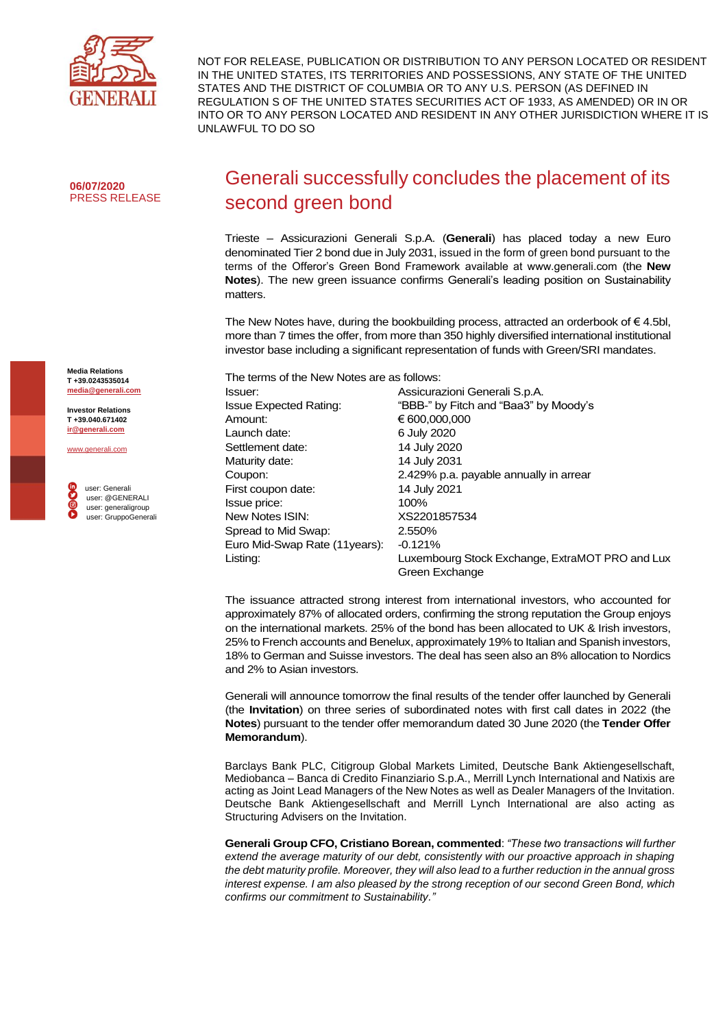

NOT FOR RELEASE, PUBLICATION OR DISTRIBUTION TO ANY PERSON LOCATED OR RESIDENT IN THE UNITED STATES, ITS TERRITORIES AND POSSESSIONS, ANY STATE OF THE UNITED STATES AND THE DISTRICT OF COLUMBIA OR TO ANY U.S. PERSON (AS DEFINED IN REGULATION S OF THE UNITED STATES SECURITIES ACT OF 1933, AS AMENDED) OR IN OR INTO OR TO ANY PERSON LOCATED AND RESIDENT IN ANY OTHER JURISDICTION WHERE IT IS UNLAWFUL TO DO SO

**06/07/2020** PRESS RELEASE

## Generali successfully concludes the placement of its second green bond

Trieste – Assicurazioni Generali S.p.A. (**Generali**) has placed today a new Euro denominated Tier 2 bond due in July 2031, issued in the form of green bond pursuant to the terms of the Offeror's Green Bond Framework available at www.generali.com (the **New Notes**). The new green issuance confirms Generali's leading position on Sustainability matters.

The New Notes have, during the bookbuilding process, attracted an orderbook of  $\epsilon$  4.5bl, more than 7 times the offer, from more than 350 highly diversified international institutional investor base including a significant representation of funds with Green/SRI mandates.

| The terms of the New Notes are as follows: |                                                 |
|--------------------------------------------|-------------------------------------------------|
| Issuer:                                    | Assicurazioni Generali S.p.A.                   |
| <b>Issue Expected Rating:</b>              | "BBB-" by Fitch and "Baa3" by Moody's           |
| Amount:                                    | € 600,000,000                                   |
| Launch date:                               | 6 July 2020                                     |
| Settlement date:                           | 14 July 2020                                    |
| Maturity date:                             | 14 July 2031                                    |
| Coupon:                                    | 2.429% p.a. payable annually in arrear          |
| First coupon date:                         | 14 July 2021                                    |
| Issue price:                               | 100%                                            |
| New Notes ISIN:                            | XS2201857534                                    |
| Spread to Mid Swap:                        | 2.550%                                          |
| Euro Mid-Swap Rate (11 years):             | $-0.121%$                                       |
| Listing:                                   | Luxembourg Stock Exchange, ExtraMOT PRO and Lux |
|                                            | Green Exchange                                  |

The issuance attracted strong interest from international investors, who accounted for approximately 87% of allocated orders, confirming the strong reputation the Group enjoys on the international markets. 25% of the bond has been allocated to UK & Irish investors, 25% to French accounts and Benelux, approximately 19% to Italian and Spanish investors, 18% to German and Suisse investors. The deal has seen also an 8% allocation to Nordics and 2% to Asian investors.

Generali will announce tomorrow the final results of the tender offer launched by Generali (the **Invitation**) on three series of subordinated notes with first call dates in 2022 (the **Notes**) pursuant to the tender offer memorandum dated 30 June 2020 (the **Tender Offer Memorandum**).

Barclays Bank PLC, Citigroup Global Markets Limited, Deutsche Bank Aktiengesellschaft, Mediobanca – Banca di Credito Finanziario S.p.A., Merrill Lynch International and Natixis are acting as Joint Lead Managers of the New Notes as well as Dealer Managers of the Invitation. Deutsche Bank Aktiengesellschaft and Merrill Lynch International are also acting as Structuring Advisers on the Invitation.

**Generali Group CFO, Cristiano Borean, commented**: *"These two transactions will further extend the average maturity of our debt, consistently with our proactive approach in shaping the debt maturity profile. Moreover, they will also lead to a further reduction in the annual gross interest expense. I am also pleased by the strong reception of our second Green Bond, which confirms our commitment to Sustainability."*

**Media Relations T +39.0243535014 [media@generali.com](mailto:media@generali.com)**

**Investor Relations T +39.040.671402 [ir@generali.com](mailto:ir@generali.com)**

[www.generali.com](http://www.generali.com/)

 user: Generali user: @GENERALI user: generaligroup user: GruppoGenerali